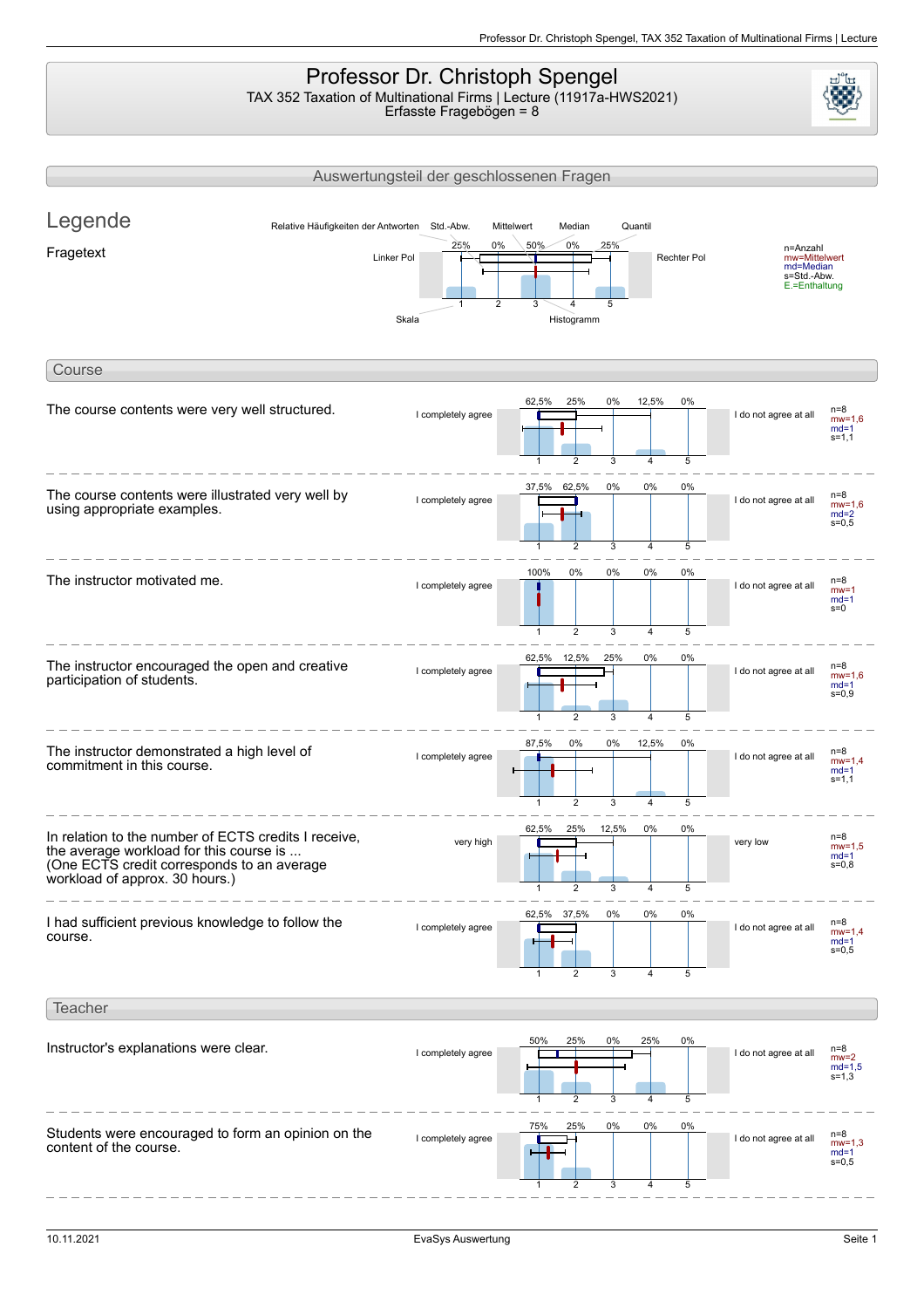## Professor Dr. Christoph Spengel TAX 352 Taxation of Multinational Firms | Lecture (11917a-HWS2021)

Erfasste Fragebögen = 8

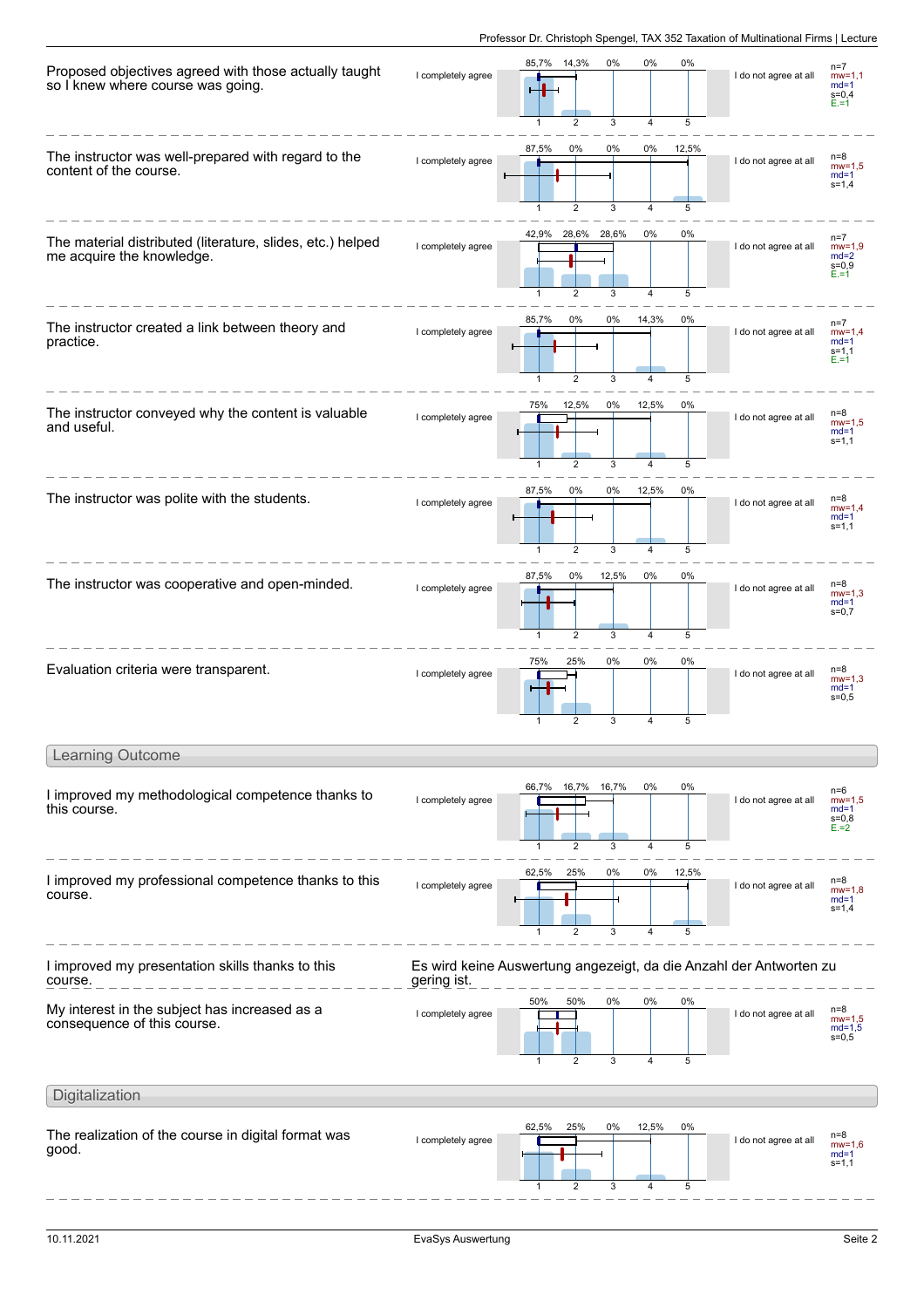| Proposed objectives agreed with those actually taught<br>so I knew where course was going. | I completely agree | 85,7% 14,3%<br>0%<br>0%<br>0%<br>3<br>5<br>2<br>4                                   | I do not agree at all | $n=7$<br>$mw=1,1$<br>$md=1$<br>$s = 0,4$<br>$E = 1$  |
|--------------------------------------------------------------------------------------------|--------------------|-------------------------------------------------------------------------------------|-----------------------|------------------------------------------------------|
| The instructor was well-prepared with regard to the<br>content of the course.              | I completely agree | 87,5%<br>0%<br>0%<br>0%<br>12,5%<br>$\overline{2}$<br>3<br>5<br>$\overline{1}$<br>4 | I do not agree at all | $n=8$<br>$mw=1.5$<br>$md=1$<br>$s = 1,4$             |
| The material distributed (literature, slides, etc.) helped<br>me acquire the knowledge.    | I completely agree | 42,9%<br>28,6% 28,6%<br>0%<br>0%<br>3<br>4<br>5                                     | I do not agree at all | $n=7$<br>$mw=1.9$<br>$md=2$<br>$s = 0,9$<br>$E = 1$  |
| The instructor created a link between theory and<br>practice.                              | I completely agree | 85,7%<br>0%<br>0%<br>14,3%<br>0%<br>$\overline{2}$<br>3<br>5<br>4                   | I do not agree at all | $n=7$<br>$mw=1,4$<br>$md=1$<br>$s = 1, 1$<br>$E = 1$ |
| The instructor conveyed why the content is valuable<br>and useful.                         | I completely agree | 12,5%<br>0%<br>12,5%<br>75%<br>0%<br>3<br>5<br>2<br>4                               | I do not agree at all | $n=8$<br>$mw=1.5$<br>$md=1$<br>$s = 1, 1$            |
| The instructor was polite with the students.                                               | I completely agree | 87,5%<br>0%<br>0%<br>12,5%<br>0%<br>5<br>$\overline{2}$<br>3<br>4                   | I do not agree at all | $n=8$<br>$mw=1.4$<br>$md=1$<br>$s = 1, 1$            |
| The instructor was cooperative and open-minded.                                            | I completely agree | 87,5%<br>0%<br>12,5%<br>0%<br>0%<br>$\overline{4}$<br>5<br>$\overline{1}$<br>2<br>3 | I do not agree at all | $n=8$<br>$mw=1.3$<br>$md=1$<br>$s = 0,7$             |
| Evaluation criteria were transparent.                                                      | I completely agree | 25%<br>0%<br>75%<br>0%<br>0%<br>5<br>3<br>4                                         | I do not agree at all | $n=8$<br>$mw=1.3$<br>$md=1$<br>$s = 0, 5$            |
| <b>Learning Outcome</b>                                                                    |                    |                                                                                     |                       |                                                      |
| I improved my methodological competence thanks to<br>this course.                          | I completely agree | 0%<br>0%<br>66,7%<br>16,7%<br>16,7%<br>3<br>4<br>5<br>2                             | I do not agree at all | $n=6$<br>$mw=1.5$<br>$md=1$<br>$s = 0,8$<br>$E = 2$  |
| I improved my professional competence thanks to this<br>course.                            | I completely agree | 25%<br>62,5%<br>0%<br>0%<br>12,5%<br>5<br>$\mathbf{1}$<br>$\overline{2}$<br>3<br>4  | I do not agree at all | $n=8$<br>$mw=1.8$<br>$md=1$<br>$s = 1,4$             |
| I improved my presentation skills thanks to this<br>course.                                | gering ist.        | Es wird keine Auswertung angezeigt, da die Anzahl der Antworten zu                  |                       |                                                      |
| My interest in the subject has increased as a<br>consequence of this course.               | I completely agree | 50%<br>50%<br>0%<br>0%<br>0%<br>3<br>4<br>5                                         | I do not agree at all | $n=8$<br>$mw=1,5$<br>$md=1,5$<br>$s = 0, 5$          |
| Digitalization                                                                             |                    |                                                                                     |                       |                                                      |
| The realization of the course in digital format was<br>good.                               | I completely agree | 62,5%<br>25%<br>0%<br>12,5%<br>0%<br>5<br>$\overline{2}$<br>3<br>4                  | I do not agree at all | $n=8$<br>$mw=1.6$<br>$md=1$<br>$s = 1, 1$            |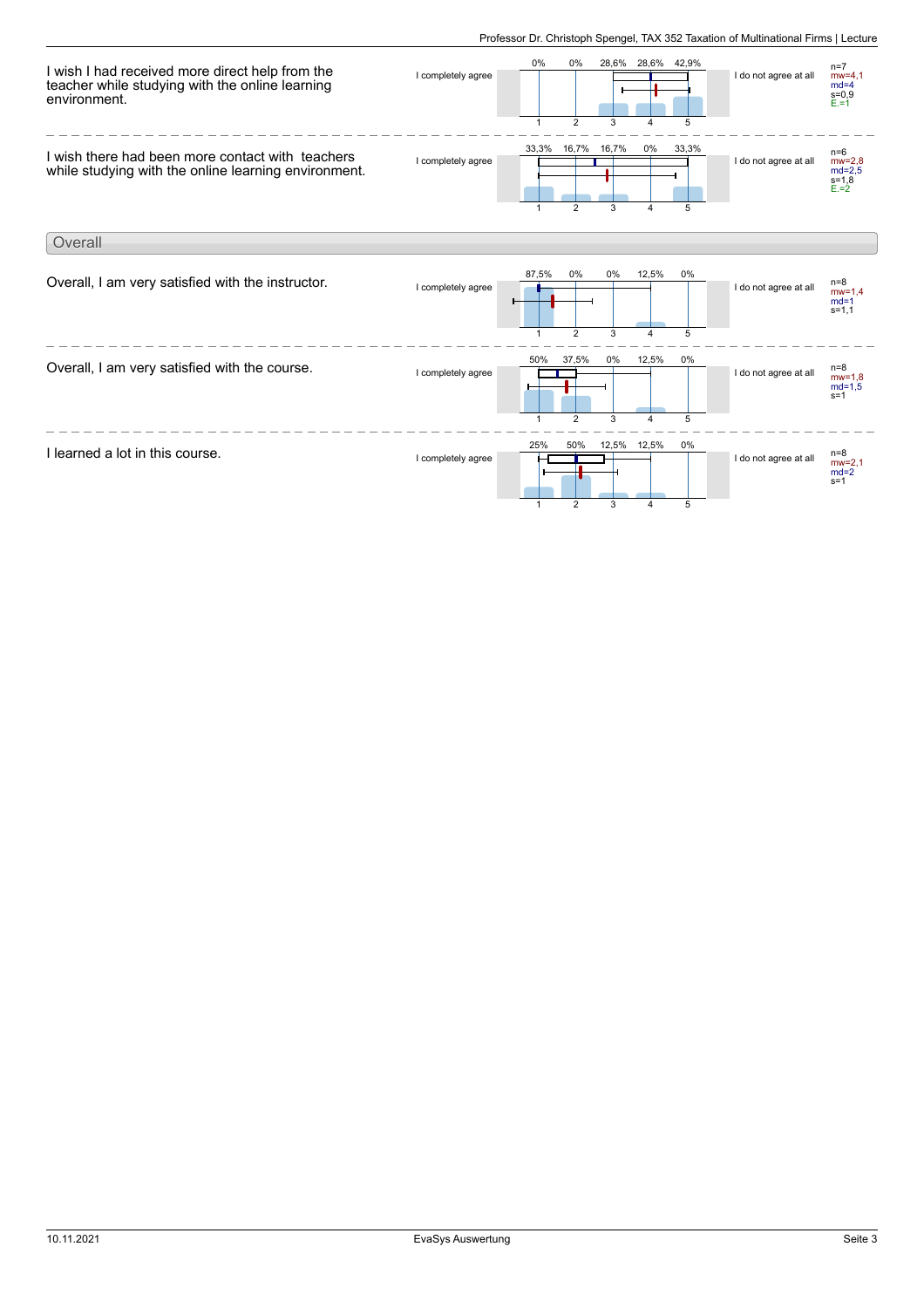

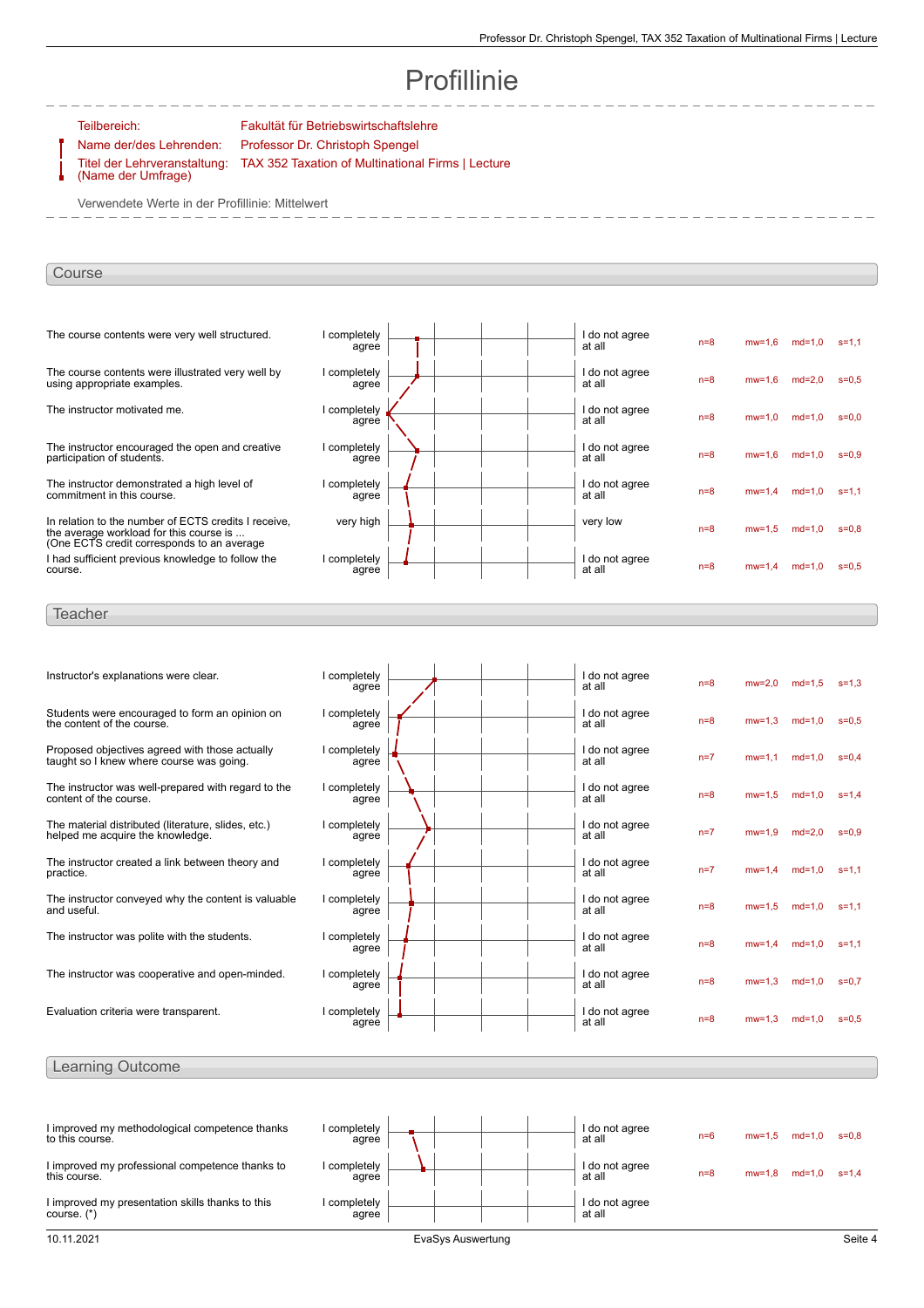# Profillinie

Teilbereich: Fakultät für Betriebswirtschaftslehre Name der/des Lehrenden: Professor Dr. Christoph Spengel

TAX 352 Taxation of Multinational Firms | Lecture

Titel der Lehrveranstaltung: (Name der Umfrage)

Verwendete Werte in der Profillinie: Mittelwert

## Course

| The course contents were very well structured.                                                                                                | I completely<br>agree | I do not agree<br>at all | $n=8$ | $mw=1.6$   | $md=1.0$ | $s = 1.1$ |
|-----------------------------------------------------------------------------------------------------------------------------------------------|-----------------------|--------------------------|-------|------------|----------|-----------|
| The course contents were illustrated very well by<br>using appropriate examples.                                                              | completely<br>agree   | I do not agree<br>at all | $n=8$ | $mw=1.6$   | $md=2.0$ | $s = 0.5$ |
| The instructor motivated me.                                                                                                                  | completely<br>agree   | I do not agree<br>at all | $n=8$ | $mw=1.0$   | $md=1,0$ | $s = 0.0$ |
| The instructor encouraged the open and creative<br>participation of students.                                                                 | completely<br>agree   | I do not agree<br>at all | $n=8$ | $mw=1.6$   | $md=1,0$ | $s = 0.9$ |
| The instructor demonstrated a high level of<br>commitment in this course.                                                                     | completely<br>agree   | I do not agree<br>at all | $n=8$ | $mw=1.4$   | $md=1.0$ | $s = 1.1$ |
| In relation to the number of ECTS credits I receive.<br>the average workload for this course is<br>(One ECTS credit corresponds to an average | very high             | very low                 | $n=8$ | $mw = 1.5$ | $md=1,0$ | $s = 0.8$ |
| I had sufficient previous knowledge to follow the<br>course.                                                                                  | completely<br>agree   | I do not agree<br>at all | $n=8$ | $mw = 1.4$ | $md=1,0$ | $s = 0.5$ |
|                                                                                                                                               |                       |                          |       |            |          |           |

### **Teacher**

| Instructor's explanations were clear.                                                      | I completely<br>agree | I do not agree<br>at all | $n=8$ | $mw=2.0$ | $md=1.5$ | $s = 1.3$ |
|--------------------------------------------------------------------------------------------|-----------------------|--------------------------|-------|----------|----------|-----------|
| Students were encouraged to form an opinion on<br>the content of the course.               | I completely<br>agree | I do not agree<br>at all | $n=8$ | $mw=1.3$ | $md=1.0$ | $s = 0.5$ |
| Proposed objectives agreed with those actually<br>taught so I knew where course was going. | I completely<br>agree | I do not agree<br>at all | $n=7$ | $mw=1.1$ | $md=1.0$ | $s = 0.4$ |
| The instructor was well-prepared with regard to the<br>content of the course.              | I completely<br>agree | I do not agree<br>at all | $n=8$ | $mw=1.5$ | $md=1,0$ | $s = 1.4$ |
| The material distributed (literature, slides, etc.)<br>helped me acquire the knowledge.    | I completely<br>agree | I do not agree<br>at all | $n=7$ | $mw=1.9$ | $md=2.0$ | $s = 0.9$ |
| The instructor created a link between theory and<br>practice.                              | I completely<br>agree | I do not agree<br>at all | $n=7$ | $mw=1.4$ | $md=1.0$ | $s = 1.1$ |
| The instructor conveyed why the content is valuable<br>and useful.                         | I completely<br>agree | I do not agree<br>at all | $n=8$ | $mw=1.5$ | $md=1.0$ | $s = 1.1$ |
| The instructor was polite with the students.                                               | I completely<br>agree | I do not agree<br>at all | $n=8$ | $mw=1.4$ | $md=1.0$ | $s = 1.1$ |
| The instructor was cooperative and open-minded.                                            | I completely<br>agree | I do not agree<br>at all | $n=8$ | $mw=1.3$ | $md=1.0$ | $s = 0.7$ |
| Evaluation criteria were transparent.                                                      | I completely<br>agree | I do not agree<br>at all | $n=8$ | $mw=1.3$ | $md=1.0$ | $s = 0.5$ |
|                                                                                            |                       |                          |       |          |          |           |

| I improved my methodological competence thanks<br>to this course. | I completely<br>agree |  |  | I do not agree<br>at all | $n=6$ | $mw = 1.5$ | $md=1$ | s=0.8     |
|-------------------------------------------------------------------|-----------------------|--|--|--------------------------|-------|------------|--------|-----------|
| I improved my professional competence thanks to<br>this course.   | I completelv<br>agree |  |  | I do not agree<br>at all | $n=8$ | $mw=1$ .   | $md=1$ | $s = 1.4$ |
| I improved my presentation skills thanks to this<br>course. $(*)$ | I completely<br>agree |  |  | I do not agree<br>at all |       |            |        |           |

Learning Outcome